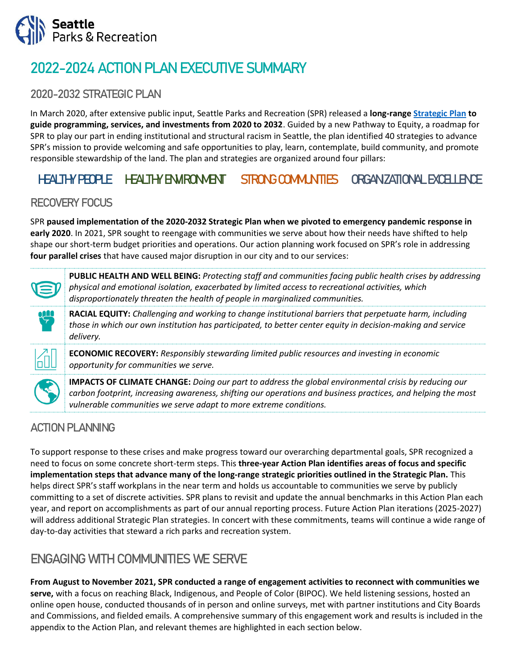

# 2022-2024 ACTION PLAN EXECUTIVE SUMMARY

### 2020-2032 STRATEGIC PLAN

In March 2020, after extensive public input, Seattle Parks and Recreation (SPR) released a **long-rang[e Strategic Plan](https://www.seattle.gov/Documents/Departments/ParksAndRecreation/PoliciesPlanning/SPR_Strategic_Plan.03.27.2020.pdf) to guide programming, services, and investments from 2020 to 2032**. Guided by a new Pathway to Equity, a roadmap for SPR to play our part in ending institutional and structural racism in Seattle, the plan identified 40 strategies to advance SPR's mission to provide welcoming and safe opportunities to play, learn, contemplate, build community, and promote responsible stewardship of the land. The plan and strategies are organized around four pillars:

# HEALTHY PEOPLE HEALTHY ENVIRONMENT STRONG COMMUNITIES ORGANIZATIONAL EXCELLENCE

### RECOVERY FOCUS

SPR **paused implementation of the 2020-2032 Strategic Plan when we pivoted to emergency pandemic response in early 2020**. In 2021, SPR sought to reengage with communities we serve about how their needs have shifted to help shape our short-term budget priorities and operations. Our action planning work focused on SPR's role in addressing **four parallel crises** that have caused major disruption in our city and to our services:



**PUBLIC HEALTH AND WELL BEING:** *Protecting staff and communities facing public health crises by addressing physical and emotional isolation, exacerbated by limited access to recreational activities, which disproportionately threaten the health of people in marginalized communities.*

**RACIAL EQUITY:** *Challenging and working to change institutional barriers that perpetuate harm, including those in which our own institution has participated, to better center equity in decision-making and service delivery.*

**ECONOMIC RECOVERY:** *Responsibly stewarding limited public resources and investing in economic opportunity for communities we serve.*



**IMPACTS OF CLIMATE CHANGE:** *Doing our part to address the global environmental crisis by reducing our carbon footprint, increasing awareness, shifting our operations and business practices, and helping the most vulnerable communities we serve adapt to more extreme conditions.*

### ACTION PLANNING

To support response to these crises and make progress toward our overarching departmental goals, SPR recognized a need to focus on some concrete short-term steps. This **three-year Action Plan identifies areas of focus and specific implementation steps that advance many of the long-range strategic priorities outlined in the Strategic Plan.** This helps direct SPR's staff workplans in the near term and holds us accountable to communities we serve by publicly committing to a set of discrete activities. SPR plans to revisit and update the annual benchmarks in this Action Plan each year, and report on accomplishments as part of our annual reporting process. Future Action Plan iterations (2025-2027) will address additional Strategic Plan strategies. In concert with these commitments, teams will continue a wide range of day-to-day activities that steward a rich parks and recreation system.

# ENGAGING WITH COMMUNITIES WE SERVE

**From August to November 2021, SPR conducted a range of engagement activities to reconnect with communities we serve,** with a focus on reaching Black, Indigenous, and People of Color (BIPOC). We held listening sessions, hosted an online open house, conducted thousands of in person and online surveys, met with partner institutions and City Boards and Commissions, and fielded emails. A comprehensive summary of this engagement work and results is included in the appendix to the Action Plan, and relevant themes are highlighted in each section below.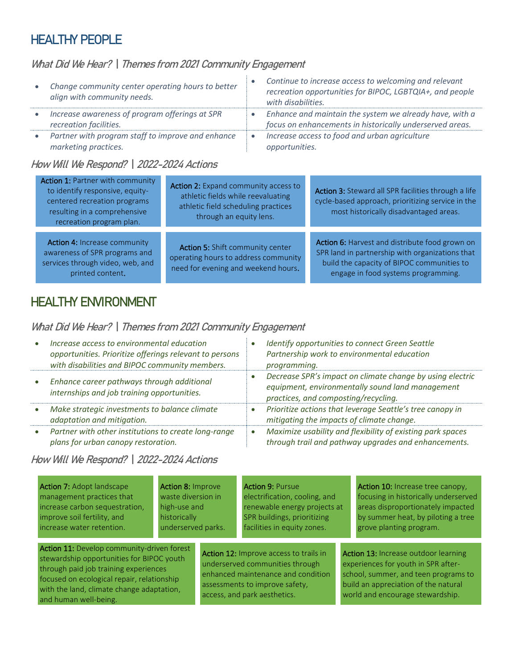## HEALTHY PEOPLE

### What Did We Hear? | Themes from 2021 Community Engagement

| Change community center operating hours to better<br>align with community needs. | Continue to increase access to welcoming and relevant<br>recreation opportunities for BIPOC, LGBTQIA+, and people<br>with disabilities. |
|----------------------------------------------------------------------------------|-----------------------------------------------------------------------------------------------------------------------------------------|
| Increase awareness of program offerings at SPR<br>recreation facilities.         | Enhance and maintain the system we already have, with a<br>focus on enhancements in historically underserved areas.                     |
| Partner with program staff to improve and enhance<br>marketing practices.        | Increase access to food and urban agriculture<br>opportunities.                                                                         |

#### How Will We Respond? | 2022-2024 Actions

| <b>Action 1: Partner with community</b><br>to identify responsive, equity-<br>centered recreation programs<br>resulting in a comprehensive<br>recreation program plan. | Action 2: Expand community access to<br>athletic fields while reevaluating<br>athletic field scheduling practices<br>through an equity lens. | Action 3: Steward all SPR facilities through a life<br>cycle-based approach, prioritizing service in the<br>most historically disadvantaged areas.                                     |
|------------------------------------------------------------------------------------------------------------------------------------------------------------------------|----------------------------------------------------------------------------------------------------------------------------------------------|----------------------------------------------------------------------------------------------------------------------------------------------------------------------------------------|
| <b>Action 4: Increase community</b><br>awareness of SPR programs and<br>services through video, web, and<br>printed content.                                           | Action 5: Shift community center<br>operating hours to address community<br>need for evening and weekend hours.                              | Action 6: Harvest and distribute food grown on<br>SPR land in partnership with organizations that<br>build the capacity of BIPOC communities to<br>engage in food systems programming. |

# HEALTHY ENVIRONMENT

### What Did We Hear? | Themes from 2021 Community Engagement

| Increase access to environmental education<br>opportunities. Prioritize offerings relevant to persons<br>with disabilities and BIPOC community members. | Identify opportunities to connect Green Seattle<br>Partnership work to environmental education<br>programming.                                        |
|---------------------------------------------------------------------------------------------------------------------------------------------------------|-------------------------------------------------------------------------------------------------------------------------------------------------------|
| Enhance career pathways through additional<br>internships and job training opportunities.                                                               | Decrease SPR's impact on climate change by using electric<br>equipment, environmentally sound land management<br>practices, and composting/recycling. |
| Make strategic investments to balance climate<br>adaptation and mitigation.                                                                             | Prioritize actions that leverage Seattle's tree canopy in<br>mitigating the impacts of climate change.                                                |
| Partner with other institutions to create long-range<br>plans for urban canopy restoration.                                                             | Maximize usability and flexibility of existing park spaces<br>through trail and pathway upgrades and enhancements.                                    |

### How Will We Respond? | 2022-2024 Actions

Action 7: Adopt landscape management practices that increase carbon sequestration, improve soil fertility, and increase water retention.

Action 8: Improve waste diversion in high-use and historically underserved parks.

Action 11: Develop community-driven forest stewardship opportunities for BIPOC youth through paid job training experiences focused on ecological repair, relationship with the land, climate change adaptation, and human well-being.

renewable energy projects at SPR buildings, prioritizing facilities in equity zones.

electrification, cooling, and

**Action 9: Pursue** 

Action 12: Improve access to trails in underserved communities through enhanced maintenance and condition assessments to improve safety, access, and park aesthetics.

Action 10: Increase tree canopy, focusing in historically underserved areas disproportionately impacted by summer heat, by piloting a tree grove planting program.

Action 13: Increase outdoor learning experiences for youth in SPR afterschool, summer, and teen programs to build an appreciation of the natural world and encourage stewardship.